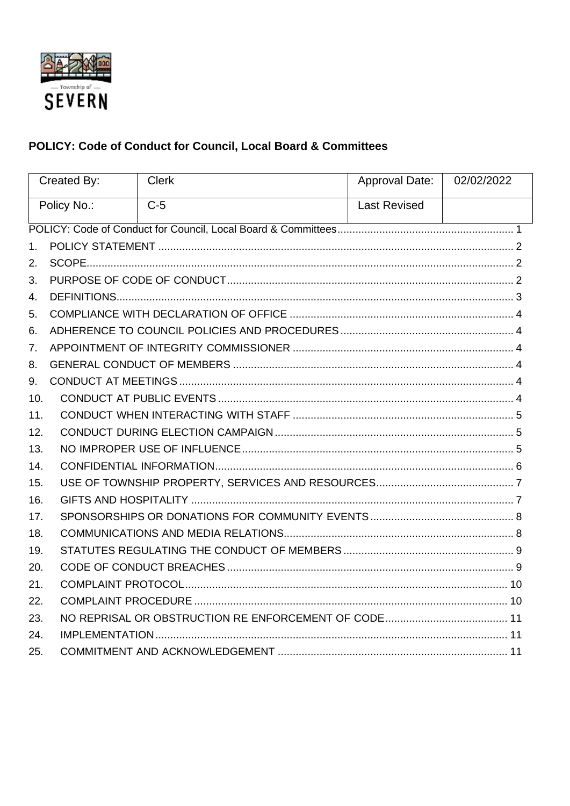

# <span id="page-0-0"></span>POLICY: Code of Conduct for Council, Local Board & Committees

| Created By:    |  | <b>Clerk</b> | Approval Date:      | 02/02/2022 |  |
|----------------|--|--------------|---------------------|------------|--|
| Policy No.:    |  | $C-5$        | <b>Last Revised</b> |            |  |
|                |  |              |                     |            |  |
| 1.             |  |              |                     |            |  |
| 2.             |  |              |                     |            |  |
| 3.             |  |              |                     |            |  |
| $\mathbf{4}$ . |  |              |                     |            |  |
| 5.             |  |              |                     |            |  |
| 6.             |  |              |                     |            |  |
| 7 <sub>1</sub> |  |              |                     |            |  |
| 8.             |  |              |                     |            |  |
| 9.             |  |              |                     |            |  |
| 10.            |  |              |                     |            |  |
| 11.            |  |              |                     |            |  |
| 12.            |  |              |                     |            |  |
| 13.            |  |              |                     |            |  |
| 14.            |  |              |                     |            |  |
| 15.            |  |              |                     |            |  |
| 16.            |  |              |                     |            |  |
| 17.            |  |              |                     |            |  |
| 18.            |  |              |                     |            |  |
| 19.            |  |              |                     |            |  |
| 20.            |  |              |                     |            |  |
| 21.            |  |              |                     |            |  |
| 22.            |  |              |                     |            |  |
| 23.            |  |              |                     |            |  |
| 24.            |  |              |                     |            |  |
| 25.            |  |              |                     |            |  |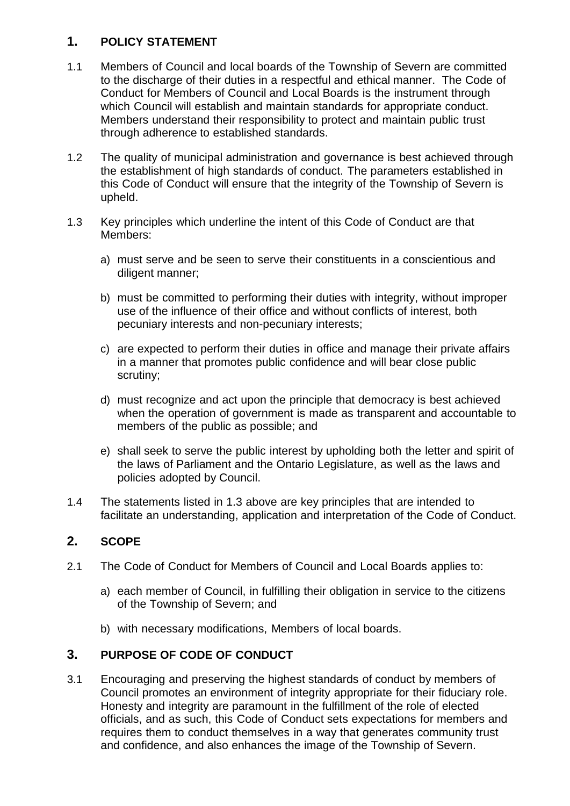# <span id="page-1-0"></span>**1. POLICY STATEMENT**

- 1.1 Members of Council and local boards of the Township of Severn are committed to the discharge of their duties in a respectful and ethical manner. The Code of Conduct for Members of Council and Local Boards is the instrument through which Council will establish and maintain standards for appropriate conduct. Members understand their responsibility to protect and maintain public trust through adherence to established standards.
- 1.2 The quality of municipal administration and governance is best achieved through the establishment of high standards of conduct. The parameters established in this Code of Conduct will ensure that the integrity of the Township of Severn is upheld.
- 1.3 Key principles which underline the intent of this Code of Conduct are that Members:
	- a) must serve and be seen to serve their constituents in a conscientious and diligent manner;
	- b) must be committed to performing their duties with integrity, without improper use of the influence of their office and without conflicts of interest, both pecuniary interests and non-pecuniary interests;
	- c) are expected to perform their duties in office and manage their private affairs in a manner that promotes public confidence and will bear close public scrutiny;
	- d) must recognize and act upon the principle that democracy is best achieved when the operation of government is made as transparent and accountable to members of the public as possible; and
	- e) shall seek to serve the public interest by upholding both the letter and spirit of the laws of Parliament and the Ontario Legislature, as well as the laws and policies adopted by Council.
- 1.4 The statements listed in 1.3 above are key principles that are intended to facilitate an understanding, application and interpretation of the Code of Conduct.

# <span id="page-1-1"></span>**2. SCOPE**

- 2.1 The Code of Conduct for Members of Council and Local Boards applies to:
	- a) each member of Council, in fulfilling their obligation in service to the citizens of the Township of Severn; and
	- b) with necessary modifications, Members of local boards.

# <span id="page-1-2"></span>**3. PURPOSE OF CODE OF CONDUCT**

3.1 Encouraging and preserving the highest standards of conduct by members of Council promotes an environment of integrity appropriate for their fiduciary role. Honesty and integrity are paramount in the fulfillment of the role of elected officials, and as such, this Code of Conduct sets expectations for members and requires them to conduct themselves in a way that generates community trust and confidence, and also enhances the image of the Township of Severn.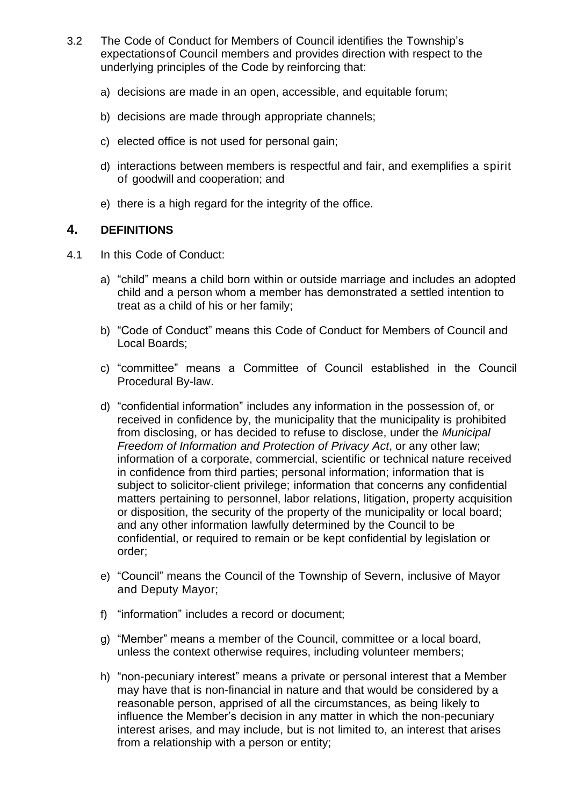- 3.2 The Code of Conduct for Members of Council identifies the Township's expectations of Council members and provides direction with respect to the underlying principles of the Code by reinforcing that:
	- a) decisions are made in an open, accessible, and equitable forum;
	- b) decisions are made through appropriate channels;
	- c) elected office is not used for personal gain;
	- d) interactions between members is respectful and fair, and exemplifies a spirit of goodwill and cooperation; and
	- e) there is a high regard for the integrity of the office.

#### <span id="page-2-0"></span>**4. DEFINITIONS**

- 4.1 In this Code of Conduct:
	- a) "child" means a child born within or outside marriage and includes an adopted child and a person whom a member has demonstrated a settled intention to treat as a child of his or her family;
	- b) "Code of Conduct" means this Code of Conduct for Members of Council and Local Boards;
	- c) "committee" means a Committee of Council established in the Council Procedural By-law.
	- d) "confidential information" includes any information in the possession of, or received in confidence by, the municipality that the municipality is prohibited from disclosing, or has decided to refuse to disclose, under the *Municipal Freedom of Information and Protection of Privacy Act*, or any other law; information of a corporate, commercial, scientific or technical nature received in confidence from third parties; personal information; information that is subject to solicitor-client privilege; information that concerns any confidential matters pertaining to personnel, labor relations, litigation, property acquisition or disposition, the security of the property of the municipality or local board; and any other information lawfully determined by the Council to be confidential, or required to remain or be kept confidential by legislation or order;
	- e) "Council" means the Council of the Township of Severn, inclusive of Mayor and Deputy Mayor;
	- f) "information" includes a record or document;
	- g) "Member" means a member of the Council, committee or a local board, unless the context otherwise requires, including volunteer members;
	- h) "non-pecuniary interest" means a private or personal interest that a Member may have that is non-financial in nature and that would be considered by a reasonable person, apprised of all the circumstances, as being likely to influence the Member's decision in any matter in which the non-pecuniary interest arises, and may include, but is not limited to, an interest that arises from a relationship with a person or entity;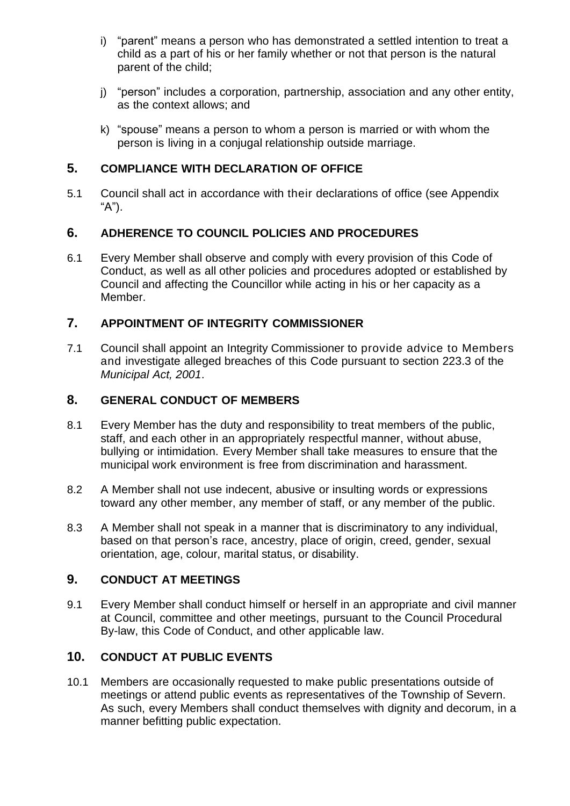- i) "parent" means a person who has demonstrated a settled intention to treat a child as a part of his or her family whether or not that person is the natural parent of the child;
- j) "person" includes a corporation, partnership, association and any other entity, as the context allows; and
- k) "spouse" means a person to whom a person is married or with whom the person is living in a conjugal relationship outside marriage.

# <span id="page-3-0"></span>**5. COMPLIANCE WITH DECLARATION OF OFFICE**

5.1 Council shall act in accordance with their declarations of office (see Appendix "A").

# <span id="page-3-1"></span>**6. ADHERENCE TO COUNCIL POLICIES AND PROCEDURES**

6.1 Every Member shall observe and comply with every provision of this Code of Conduct, as well as all other policies and procedures adopted or established by Council and affecting the Councillor while acting in his or her capacity as a Member.

# <span id="page-3-2"></span>**7. APPOINTMENT OF INTEGRITY COMMISSIONER**

7.1 Council shall appoint an Integrity Commissioner to provide advice to Members and investigate alleged breaches of this Code pursuant to section 223.3 of the *Municipal Act, 2001*.

# <span id="page-3-3"></span>**8. GENERAL CONDUCT OF MEMBERS**

- 8.1 Every Member has the duty and responsibility to treat members of the public, staff, and each other in an appropriately respectful manner, without abuse, bullying or intimidation. Every Member shall take measures to ensure that the municipal work environment is free from discrimination and harassment.
- 8.2 A Member shall not use indecent, abusive or insulting words or expressions toward any other member, any member of staff, or any member of the public.
- 8.3 A Member shall not speak in a manner that is discriminatory to any individual, based on that person's race, ancestry, place of origin, creed, gender, sexual orientation, age, colour, marital status, or disability.

# <span id="page-3-4"></span>**9. CONDUCT AT MEETINGS**

9.1 Every Member shall conduct himself or herself in an appropriate and civil manner at Council, committee and other meetings, pursuant to the Council Procedural By-law, this Code of Conduct, and other applicable law.

# <span id="page-3-5"></span>**10. CONDUCT AT PUBLIC EVENTS**

10.1 Members are occasionally requested to make public presentations outside of meetings or attend public events as representatives of the Township of Severn. As such, every Members shall conduct themselves with dignity and decorum, in a manner befitting public expectation.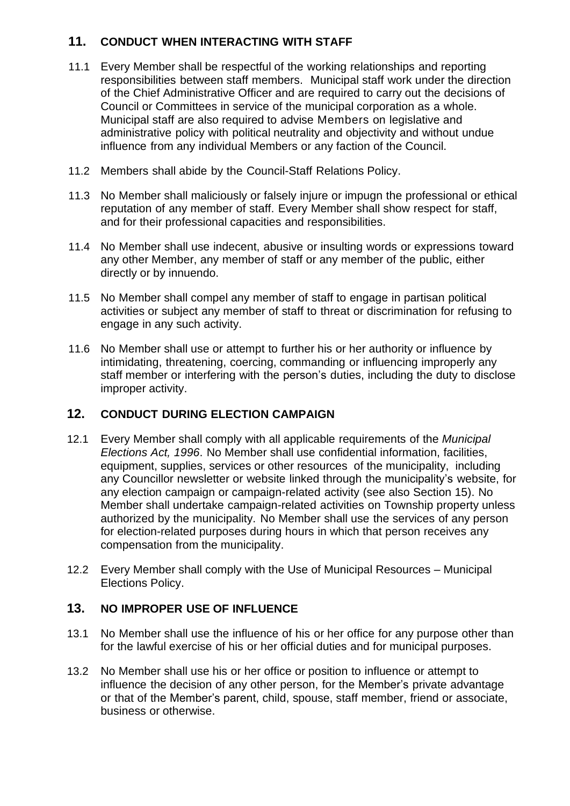# <span id="page-4-0"></span>**11. CONDUCT WHEN INTERACTING WITH STAFF**

- 11.1 Every Member shall be respectful of the working relationships and reporting responsibilities between staff members. Municipal staff work under the direction of the Chief Administrative Officer and are required to carry out the decisions of Council or Committees in service of the municipal corporation as a whole. Municipal staff are also required to advise Members on legislative and administrative policy with political neutrality and objectivity and without undue influence from any individual Members or any faction of the Council.
- 11.2 Members shall abide by the Council-Staff Relations Policy.
- 11.3 No Member shall maliciously or falsely injure or impugn the professional or ethical reputation of any member of staff. Every Member shall show respect for staff, and for their professional capacities and responsibilities.
- 11.4 No Member shall use indecent, abusive or insulting words or expressions toward any other Member, any member of staff or any member of the public, either directly or by innuendo.
- 11.5 No Member shall compel any member of staff to engage in partisan political activities or subject any member of staff to threat or discrimination for refusing to engage in any such activity.
- 11.6 No Member shall use or attempt to further his or her authority or influence by intimidating, threatening, coercing, commanding or influencing improperly any staff member or interfering with the person's duties, including the duty to disclose improper activity.

# <span id="page-4-1"></span>**12. CONDUCT DURING ELECTION CAMPAIGN**

- 12.1 Every Member shall comply with all applicable requirements of the *Municipal Elections Act, 1996*. No Member shall use confidential information, facilities, equipment, supplies, services or other resources of the municipality, including any Councillor newsletter or website linked through the municipality's website, for any election campaign or campaign-related activity (see also Section 15). No Member shall undertake campaign-related activities on Township property unless authorized by the municipality. No Member shall use the services of any person for election-related purposes during hours in which that person receives any compensation from the municipality.
- 12.2 Every Member shall comply with the Use of Municipal Resources Municipal Elections Policy.

# <span id="page-4-2"></span>**13. NO IMPROPER USE OF INFLUENCE**

- 13.1 No Member shall use the influence of his or her office for any purpose other than for the lawful exercise of his or her official duties and for municipal purposes.
- 13.2 No Member shall use his or her office or position to influence or attempt to influence the decision of any other person, for the Member's private advantage or that of the Member's parent, child, spouse, staff member, friend or associate, business or otherwise.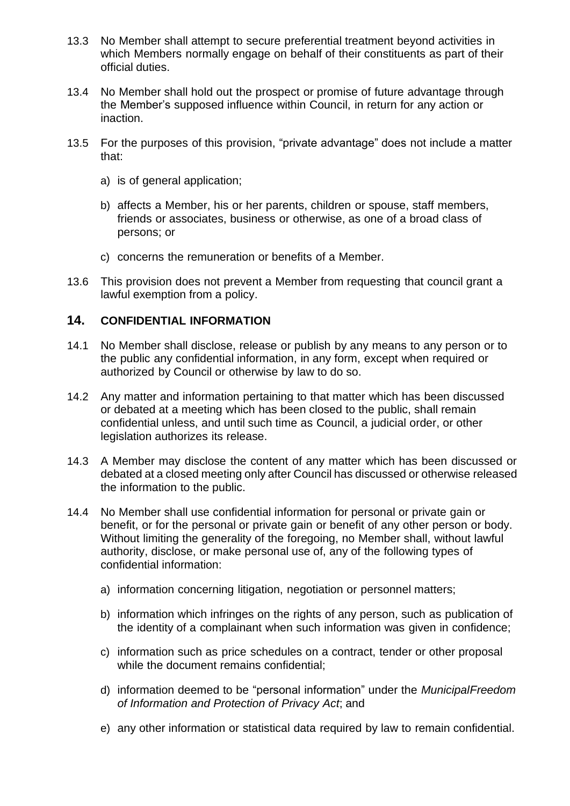- 13.3 No Member shall attempt to secure preferential treatment beyond activities in which Members normally engage on behalf of their constituents as part of their official duties.
- 13.4 No Member shall hold out the prospect or promise of future advantage through the Member's supposed influence within Council, in return for any action or inaction.
- 13.5 For the purposes of this provision, "private advantage" does not include a matter that:
	- a) is of general application;
	- b) affects a Member, his or her parents, children or spouse, staff members, friends or associates, business or otherwise, as one of a broad class of persons; or
	- c) concerns the remuneration or benefits of a Member.
- 13.6 This provision does not prevent a Member from requesting that council grant a lawful exemption from a policy.

## <span id="page-5-0"></span>**14. CONFIDENTIAL INFORMATION**

- 14.1 No Member shall disclose, release or publish by any means to any person or to the public any confidential information, in any form, except when required or authorized by Council or otherwise by law to do so.
- 14.2 Any matter and information pertaining to that matter which has been discussed or debated at a meeting which has been closed to the public, shall remain confidential unless, and until such time as Council, a judicial order, or other legislation authorizes its release.
- 14.3 A Member may disclose the content of any matter which has been discussed or debated at a closed meeting only after Council has discussed or otherwise released the information to the public.
- 14.4 No Member shall use confidential information for personal or private gain or benefit, or for the personal or private gain or benefit of any other person or body. Without limiting the generality of the foregoing, no Member shall, without lawful authority, disclose, or make personal use of, any of the following types of confidential information:
	- a) information concerning litigation, negotiation or personnel matters;
	- b) information which infringes on the rights of any person, such as publication of the identity of a complainant when such information was given in confidence;
	- c) information such as price schedules on a contract, tender or other proposal while the document remains confidential;
	- d) information deemed to be "personal information" under the *MunicipalFreedom of Information and Protection of Privacy Act*; and
	- e) any other information or statistical data required by law to remain confidential.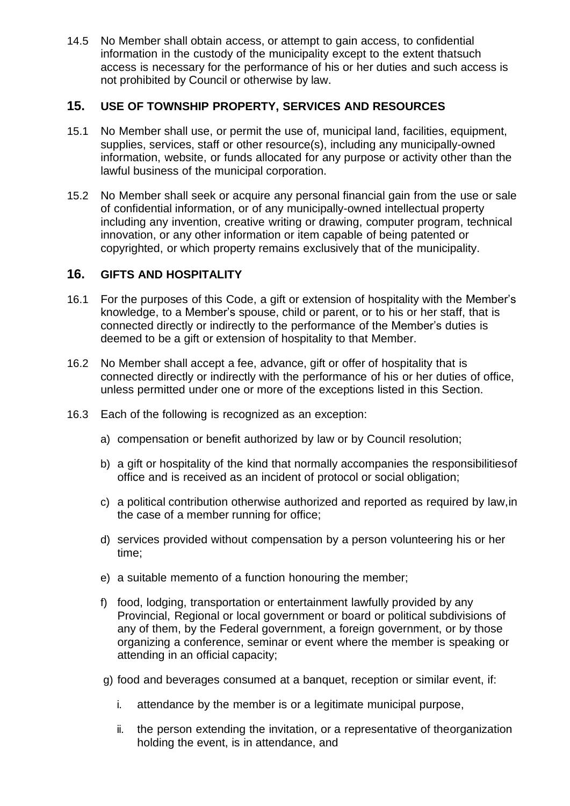14.5 No Member shall obtain access, or attempt to gain access, to confidential information in the custody of the municipality except to the extent thatsuch access is necessary for the performance of his or her duties and such access is not prohibited by Council or otherwise by law.

# <span id="page-6-0"></span>**15. USE OF TOWNSHIP PROPERTY, SERVICES AND RESOURCES**

- 15.1 No Member shall use, or permit the use of, municipal land, facilities, equipment, supplies, services, staff or other resource(s), including any municipally-owned information, website, or funds allocated for any purpose or activity other than the lawful business of the municipal corporation.
- 15.2 No Member shall seek or acquire any personal financial gain from the use or sale of confidential information, or of any municipally-owned intellectual property including any invention, creative writing or drawing, computer program, technical innovation, or any other information or item capable of being patented or copyrighted, or which property remains exclusively that of the municipality.

# <span id="page-6-1"></span>**16. GIFTS AND HOSPITALITY**

- 16.1 For the purposes of this Code, a gift or extension of hospitality with the Member's knowledge, to a Member's spouse, child or parent, or to his or her staff, that is connected directly or indirectly to the performance of the Member's duties is deemed to be a gift or extension of hospitality to that Member.
- 16.2 No Member shall accept a fee, advance, gift or offer of hospitality that is connected directly or indirectly with the performance of his or her duties of office, unless permitted under one or more of the exceptions listed in this Section.
- 16.3 Each of the following is recognized as an exception:
	- a) compensation or benefit authorized by law or by Council resolution;
	- b) a gift or hospitality of the kind that normally accompanies the responsibilitiesof office and is received as an incident of protocol or social obligation;
	- c) a political contribution otherwise authorized and reported as required by law,in the case of a member running for office;
	- d) services provided without compensation by a person volunteering his or her time;
	- e) a suitable memento of a function honouring the member;
	- f) food, lodging, transportation or entertainment lawfully provided by any Provincial, Regional or local government or board or political subdivisions of any of them, by the Federal government, a foreign government, or by those organizing a conference, seminar or event where the member is speaking or attending in an official capacity;
	- g) food and beverages consumed at a banquet, reception or similar event, if:
		- i. attendance by the member is or a legitimate municipal purpose,
		- ii. the person extending the invitation, or a representative of theorganization holding the event, is in attendance, and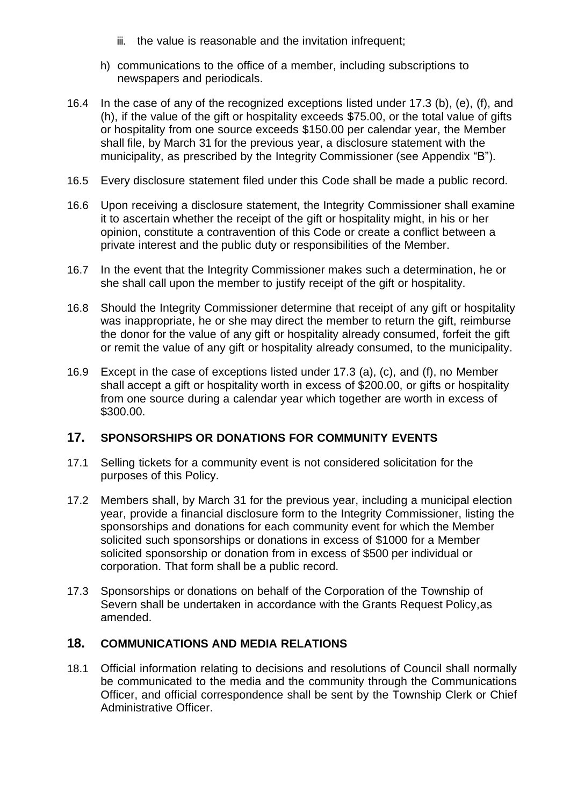- iii. the value is reasonable and the invitation infrequent;
- h) communications to the office of a member, including subscriptions to newspapers and periodicals.
- 16.4 In the case of any of the recognized exceptions listed under 17.3 (b), (e), (f), and (h), if the value of the gift or hospitality exceeds \$75.00, or the total value of gifts or hospitality from one source exceeds \$150.00 per calendar year, the Member shall file, by March 31 for the previous year, a disclosure statement with the municipality, as prescribed by the Integrity Commissioner (see Appendix "B").
- 16.5 Every disclosure statement filed under this Code shall be made a public record.
- 16.6 Upon receiving a disclosure statement, the Integrity Commissioner shall examine it to ascertain whether the receipt of the gift or hospitality might, in his or her opinion, constitute a contravention of this Code or create a conflict between a private interest and the public duty or responsibilities of the Member.
- 16.7 In the event that the Integrity Commissioner makes such a determination, he or she shall call upon the member to justify receipt of the gift or hospitality.
- 16.8 Should the Integrity Commissioner determine that receipt of any gift or hospitality was inappropriate, he or she may direct the member to return the gift, reimburse the donor for the value of any gift or hospitality already consumed, forfeit the gift or remit the value of any gift or hospitality already consumed, to the municipality.
- 16.9 Except in the case of exceptions listed under 17.3 (a), (c), and (f), no Member shall accept a gift or hospitality worth in excess of \$200.00, or gifts or hospitality from one source during a calendar year which together are worth in excess of \$300.00.

#### <span id="page-7-0"></span>**17. SPONSORSHIPS OR DONATIONS FOR COMMUNITY EVENTS**

- 17.1 Selling tickets for a community event is not considered solicitation for the purposes of this Policy.
- 17.2 Members shall, by March 31 for the previous year, including a municipal election year, provide a financial disclosure form to the Integrity Commissioner, listing the sponsorships and donations for each community event for which the Member solicited such sponsorships or donations in excess of \$1000 for a Member solicited sponsorship or donation from in excess of \$500 per individual or corporation. That form shall be a public record.
- 17.3 Sponsorships or donations on behalf of the Corporation of the Township of Severn shall be undertaken in accordance with the Grants Request Policy,as amended.

#### <span id="page-7-1"></span>**18. COMMUNICATIONS AND MEDIA RELATIONS**

18.1 Official information relating to decisions and resolutions of Council shall normally be communicated to the media and the community through the Communications Officer, and official correspondence shall be sent by the Township Clerk or Chief Administrative Officer.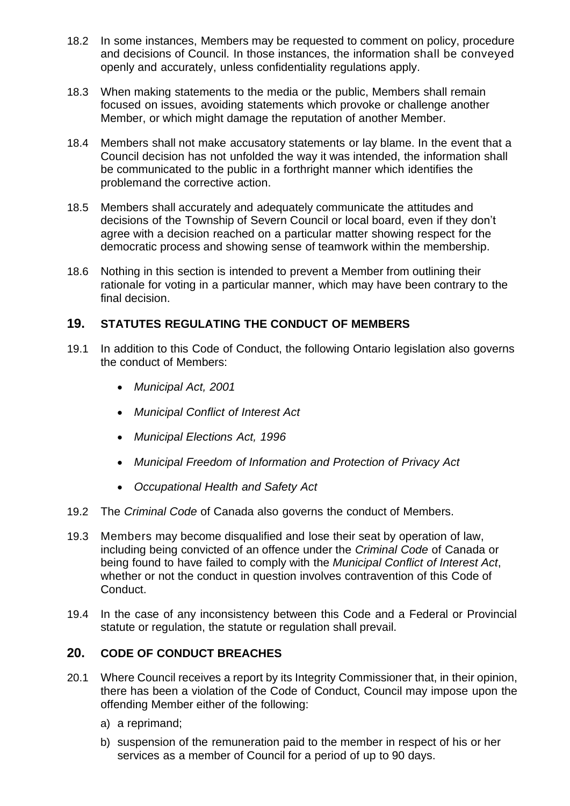- 18.2 In some instances, Members may be requested to comment on policy, procedure and decisions of Council. In those instances, the information shall be conveyed openly and accurately, unless confidentiality regulations apply.
- 18.3 When making statements to the media or the public, Members shall remain focused on issues, avoiding statements which provoke or challenge another Member, or which might damage the reputation of another Member.
- 18.4 Members shall not make accusatory statements or lay blame. In the event that a Council decision has not unfolded the way it was intended, the information shall be communicated to the public in a forthright manner which identifies the problemand the corrective action.
- 18.5 Members shall accurately and adequately communicate the attitudes and decisions of the Township of Severn Council or local board, even if they don't agree with a decision reached on a particular matter showing respect for the democratic process and showing sense of teamwork within the membership.
- 18.6 Nothing in this section is intended to prevent a Member from outlining their rationale for voting in a particular manner, which may have been contrary to the final decision.

# <span id="page-8-0"></span>**19. STATUTES REGULATING THE CONDUCT OF MEMBERS**

- 19.1 In addition to this Code of Conduct, the following Ontario legislation also governs the conduct of Members:
	- *Municipal Act, 2001*
	- *Municipal Conflict of Interest Act*
	- *Municipal Elections Act, 1996*
	- *Municipal Freedom of Information and Protection of Privacy Act*
	- *Occupational Health and Safety Act*
- 19.2 The *Criminal Code* of Canada also governs the conduct of Members.
- 19.3 Members may become disqualified and lose their seat by operation of law, including being convicted of an offence under the *Criminal Code* of Canada or being found to have failed to comply with the *Municipal Conflict of Interest Act*, whether or not the conduct in question involves contravention of this Code of Conduct.
- 19.4 In the case of any inconsistency between this Code and a Federal or Provincial statute or regulation, the statute or regulation shall prevail.

# <span id="page-8-1"></span>**20. CODE OF CONDUCT BREACHES**

- 20.1 Where Council receives a report by its Integrity Commissioner that, in their opinion, there has been a violation of the Code of Conduct, Council may impose upon the offending Member either of the following:
	- a) a reprimand;
	- b) suspension of the remuneration paid to the member in respect of his or her services as a member of Council for a period of up to 90 days.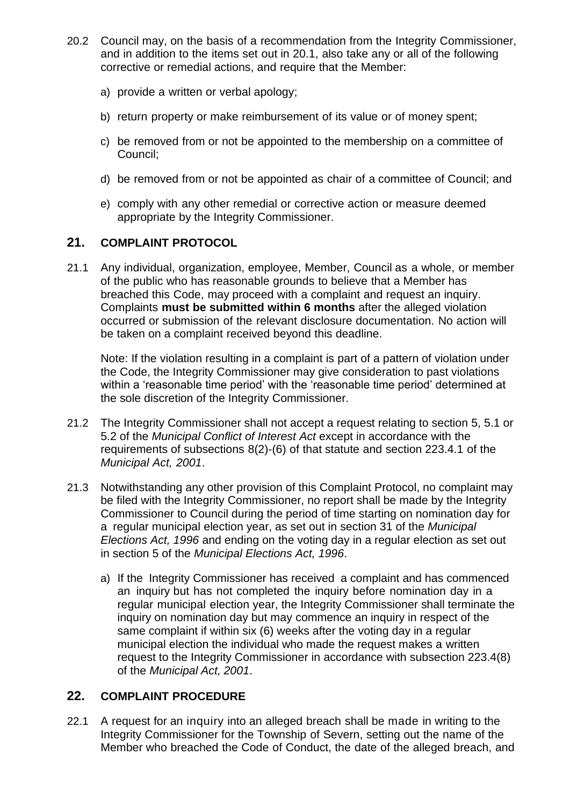- 20.2 Council may, on the basis of a recommendation from the Integrity Commissioner, and in addition to the items set out in 20.1, also take any or all of the following corrective or remedial actions, and require that the Member:
	- a) provide a written or verbal apology;
	- b) return property or make reimbursement of its value or of money spent;
	- c) be removed from or not be appointed to the membership on a committee of Council;
	- d) be removed from or not be appointed as chair of a committee of Council; and
	- e) comply with any other remedial or corrective action or measure deemed appropriate by the Integrity Commissioner.

## <span id="page-9-0"></span>**21. COMPLAINT PROTOCOL**

21.1 Any individual, organization, employee, Member, Council as a whole, or member of the public who has reasonable grounds to believe that a Member has breached this Code, may proceed with a complaint and request an inquiry. Complaints **must be submitted within 6 months** after the alleged violation occurred or submission of the relevant disclosure documentation. No action will be taken on a complaint received beyond this deadline.

Note: If the violation resulting in a complaint is part of a pattern of violation under the Code, the Integrity Commissioner may give consideration to past violations within a 'reasonable time period' with the 'reasonable time period' determined at the sole discretion of the Integrity Commissioner.

- 21.2 The Integrity Commissioner shall not accept a request relating to section 5, 5.1 or 5.2 of the *Municipal Conflict of Interest Act* except in accordance with the requirements of subsections 8(2)-(6) of that statute and section 223.4.1 of the *Municipal Act, 2001*.
- 21.3 Notwithstanding any other provision of this Complaint Protocol, no complaint may be filed with the Integrity Commissioner, no report shall be made by the Integrity Commissioner to Council during the period of time starting on nomination day for a regular municipal election year, as set out in section 31 of the *Municipal Elections Act, 1996* and ending on the voting day in a regular election as set out in section 5 of the *Municipal Elections Act, 1996*.
	- a) If the Integrity Commissioner has received a complaint and has commenced an inquiry but has not completed the inquiry before nomination day in a regular municipal election year, the Integrity Commissioner shall terminate the inquiry on nomination day but may commence an inquiry in respect of the same complaint if within six (6) weeks after the voting day in a regular municipal election the individual who made the request makes a written request to the Integrity Commissioner in accordance with subsection 223.4(8) of the *Municipal Act, 2001*.

# <span id="page-9-1"></span>**22. COMPLAINT PROCEDURE**

22.1 A request for an inquiry into an alleged breach shall be made in writing to the Integrity Commissioner for the Township of Severn, setting out the name of the Member who breached the Code of Conduct, the date of the alleged breach, and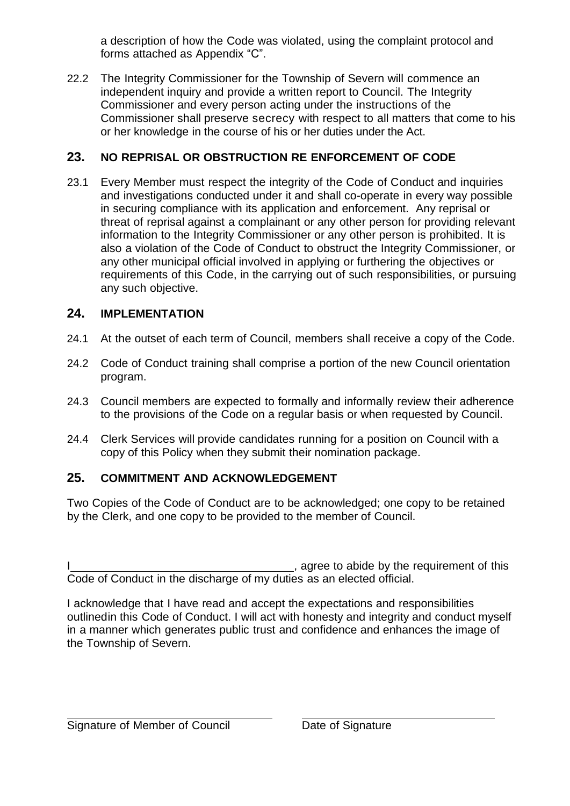a description of how the Code was violated, using the complaint protocol and forms attached as Appendix "C".

22.2 The Integrity Commissioner for the Township of Severn will commence an independent inquiry and provide a written report to Council. The Integrity Commissioner and every person acting under the instructions of the Commissioner shall preserve secrecy with respect to all matters that come to his or her knowledge in the course of his or her duties under the Act.

# <span id="page-10-0"></span>**23. NO REPRISAL OR OBSTRUCTION RE ENFORCEMENT OF CODE**

23.1 Every Member must respect the integrity of the Code of Conduct and inquiries and investigations conducted under it and shall co-operate in every way possible in securing compliance with its application and enforcement. Any reprisal or threat of reprisal against a complainant or any other person for providing relevant information to the Integrity Commissioner or any other person is prohibited. It is also a violation of the Code of Conduct to obstruct the Integrity Commissioner, or any other municipal official involved in applying or furthering the objectives or requirements of this Code, in the carrying out of such responsibilities, or pursuing any such objective.

# <span id="page-10-1"></span>**24. IMPLEMENTATION**

- 24.1 At the outset of each term of Council, members shall receive a copy of the Code.
- 24.2 Code of Conduct training shall comprise a portion of the new Council orientation program.
- 24.3 Council members are expected to formally and informally review their adherence to the provisions of the Code on a regular basis or when requested by Council.
- 24.4 Clerk Services will provide candidates running for a position on Council with a copy of this Policy when they submit their nomination package.

# <span id="page-10-2"></span>**25. COMMITMENT AND ACKNOWLEDGEMENT**

Two Copies of the Code of Conduct are to be acknowledged; one copy to be retained by the Clerk, and one copy to be provided to the member of Council.

e sample to abide by the requirement of this Code of Conduct in the discharge of my duties as an elected official.

I acknowledge that I have read and accept the expectations and responsibilities outlinedin this Code of Conduct. I will act with honesty and integrity and conduct myself in a manner which generates public trust and confidence and enhances the image of the Township of Severn.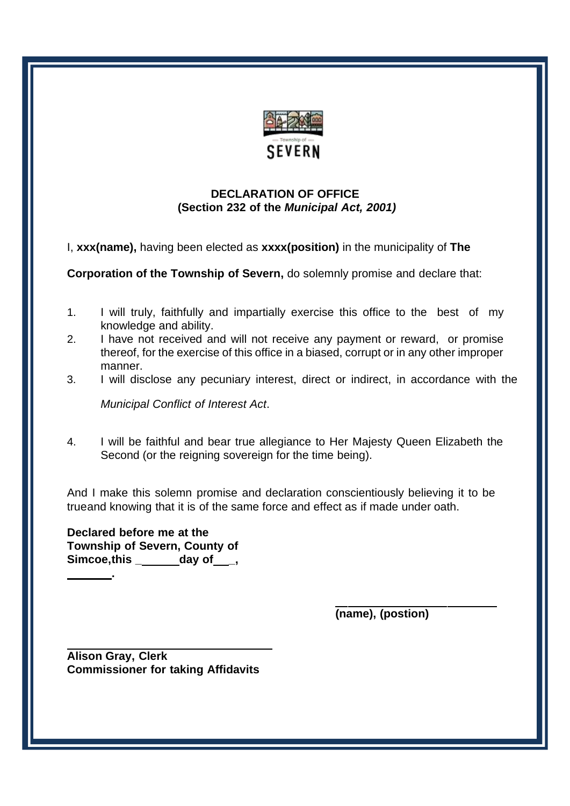

## **DECLARATION OF OFFICE (Section 232 of the** *Municipal Act, 2001)*

I, **xxx(name),** having been elected as **xxxx(position)** in the municipality of **The**

**Corporation of the Township of Severn,** do solemnly promise and declare that:

- 1. I will truly, faithfully and impartially exercise this office to the best of my knowledge and ability.
- 2. I have not received and will not receive any payment or reward, or promise thereof, for the exercise of this office in a biased, corrupt or in any other improper manner.
- 3. I will disclose any pecuniary interest, direct or indirect, in accordance with the

*Municipal Conflict of Interest Act*.

4. I will be faithful and bear true allegiance to Her Majesty Queen Elizabeth the Second (or the reigning sovereign for the time being).

And I make this solemn promise and declaration conscientiously believing it to be trueand knowing that it is of the same force and effect as if made under oath.

**Declared before me at the Township of Severn, County of Simcoe,this \_ day of \_, .**

**(name), (postion)**

**Alison Gray, Clerk Commissioner for taking Affidavits**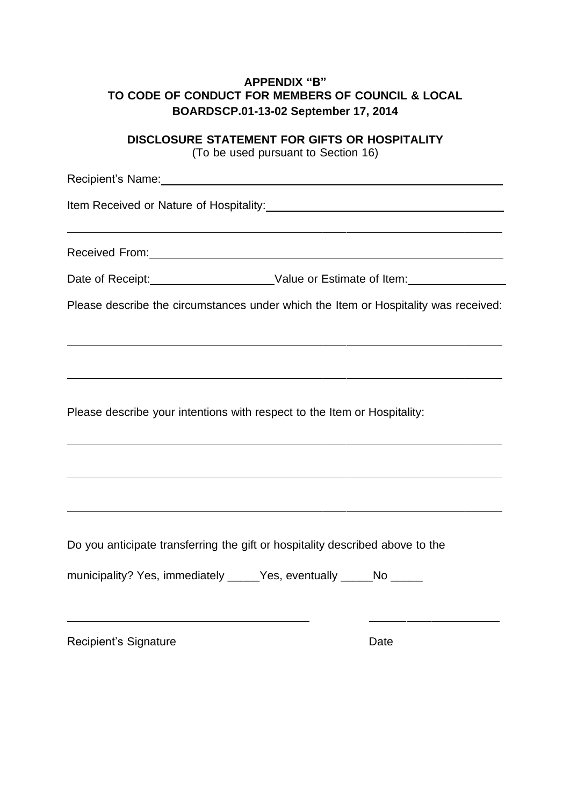# **APPENDIX "B" TO CODE OF CONDUCT FOR MEMBERS OF COUNCIL & LOCAL BOARDSCP.01-13-02 September 17, 2014**

**DISCLOSURE STATEMENT FOR GIFTS OR HOSPITALITY**

(To be used pursuant to Section 16)

Recipient's Name: We have a state of the state of the state of the state of the state of the state of the state of the state of the state of the state of the state of the state of the state of the state of the state of the Item Received or Nature of Hospitality: Received From: 2008 and 2008 and 2008 and 2008 and 2008 and 2008 and 2008 and 2008 and 2008 and 2008 and 2008 and 2008 and 2008 and 2008 and 2008 and 2008 and 2008 and 2008 and 2008 and 2008 and 2008 and 2008 and 2008 and Date of Receipt: Value or Estimate of Item: Please describe the circumstances under which the Item or Hospitality was received: Please describe your intentions with respect to the Item or Hospitality: Do you anticipate transferring the gift or hospitality described above to the municipality? Yes, immediately \_\_\_\_\_Yes, eventually \_\_\_\_\_No \_\_\_\_\_ Recipient's Signature Date Date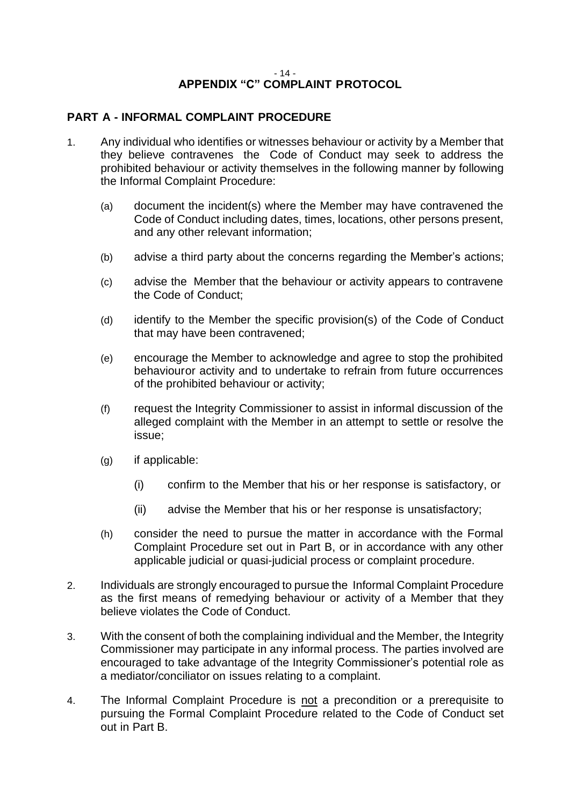#### - 14 - **APPENDIX "C" COMPLAINT PROTOCOL**

## **PART A - INFORMAL COMPLAINT PROCEDURE**

- 1. Any individual who identifies or witnesses behaviour or activity by a Member that they believe contravenes the Code of Conduct may seek to address the prohibited behaviour or activity themselves in the following manner by following the Informal Complaint Procedure:
	- (a) document the incident(s) where the Member may have contravened the Code of Conduct including dates, times, locations, other persons present, and any other relevant information;
	- (b) advise a third party about the concerns regarding the Member's actions;
	- (c) advise the Member that the behaviour or activity appears to contravene the Code of Conduct;
	- (d) identify to the Member the specific provision(s) of the Code of Conduct that may have been contravened;
	- (e) encourage the Member to acknowledge and agree to stop the prohibited behaviouror activity and to undertake to refrain from future occurrences of the prohibited behaviour or activity;
	- (f) request the Integrity Commissioner to assist in informal discussion of the alleged complaint with the Member in an attempt to settle or resolve the issue;
	- (g) if applicable:
		- (i) confirm to the Member that his or her response is satisfactory, or
		- (ii) advise the Member that his or her response is unsatisfactory;
	- (h) consider the need to pursue the matter in accordance with the Formal Complaint Procedure set out in Part B, or in accordance with any other applicable judicial or quasi-judicial process or complaint procedure.
- 2. Individuals are strongly encouraged to pursue the Informal Complaint Procedure as the first means of remedying behaviour or activity of a Member that they believe violates the Code of Conduct.
- 3. With the consent of both the complaining individual and the Member, the Integrity Commissioner may participate in any informal process. The parties involved are encouraged to take advantage of the Integrity Commissioner's potential role as a mediator/conciliator on issues relating to a complaint.
- 4. The Informal Complaint Procedure is not a precondition or a prerequisite to pursuing the Formal Complaint Procedure related to the Code of Conduct set out in Part B.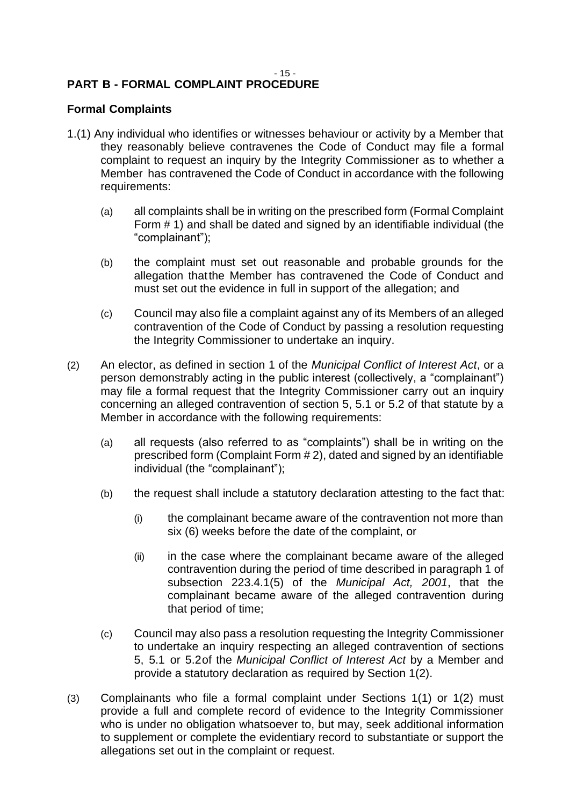#### - 15 - **PART B - FORMAL COMPLAINT PROCEDURE**

## **Formal Complaints**

- 1.(1) Any individual who identifies or witnesses behaviour or activity by a Member that they reasonably believe contravenes the Code of Conduct may file a formal complaint to request an inquiry by the Integrity Commissioner as to whether a Member has contravened the Code of Conduct in accordance with the following requirements:
	- (a) all complaints shall be in writing on the prescribed form (Formal Complaint Form # 1) and shall be dated and signed by an identifiable individual (the "complainant");
	- (b) the complaint must set out reasonable and probable grounds for the allegation thatthe Member has contravened the Code of Conduct and must set out the evidence in full in support of the allegation; and
	- (c) Council may also file a complaint against any of its Members of an alleged contravention of the Code of Conduct by passing a resolution requesting the Integrity Commissioner to undertake an inquiry.
- (2) An elector, as defined in section 1 of the *Municipal Conflict of Interest Act*, or a person demonstrably acting in the public interest (collectively, a "complainant") may file a formal request that the Integrity Commissioner carry out an inquiry concerning an alleged contravention of section 5, 5.1 or 5.2 of that statute by a Member in accordance with the following requirements:
	- (a) all requests (also referred to as "complaints") shall be in writing on the prescribed form (Complaint Form # 2), dated and signed by an identifiable individual (the "complainant");
	- (b) the request shall include a statutory declaration attesting to the fact that:
		- (i) the complainant became aware of the contravention not more than six (6) weeks before the date of the complaint, or
		- (ii) in the case where the complainant became aware of the alleged contravention during the period of time described in paragraph 1 of subsection 223.4.1(5) of the *Municipal Act, 2001*, that the complainant became aware of the alleged contravention during that period of time;
	- (c) Council may also pass a resolution requesting the Integrity Commissioner to undertake an inquiry respecting an alleged contravention of sections 5, 5.1 or 5.2of the *Municipal Conflict of Interest Act* by a Member and provide a statutory declaration as required by Section 1(2).
- (3) Complainants who file a formal complaint under Sections 1(1) or 1(2) must provide a full and complete record of evidence to the Integrity Commissioner who is under no obligation whatsoever to, but may, seek additional information to supplement or complete the evidentiary record to substantiate or support the allegations set out in the complaint or request.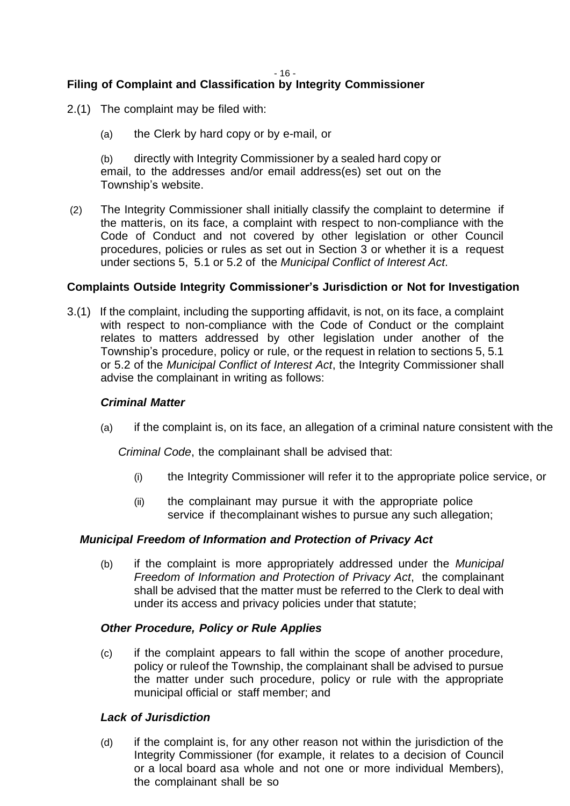- 16 -

# **Filing of Complaint and Classification by Integrity Commissioner**

- 2.(1) The complaint may be filed with:
	- (a) the Clerk by hard copy or by e-mail, or

(b) directly with Integrity Commissioner by a sealed hard copy or email, to the addresses and/or email address(es) set out on the Township's website.

(2) The Integrity Commissioner shall initially classify the complaint to determine if the matteris, on its face, a complaint with respect to non-compliance with the Code of Conduct and not covered by other legislation or other Council procedures, policies or rules as set out in Section 3 or whether it is a request under sections 5, 5.1 or 5.2 of the *Municipal Conflict of Interest Act*.

#### **Complaints Outside Integrity Commissioner's Jurisdiction or Not for Investigation**

3.(1) If the complaint, including the supporting affidavit, is not, on its face, a complaint with respect to non-compliance with the Code of Conduct or the complaint relates to matters addressed by other legislation under another of the Township's procedure, policy or rule, or the request in relation to sections 5, 5.1 or 5.2 of the *Municipal Conflict of Interest Act*, the Integrity Commissioner shall advise the complainant in writing as follows:

#### *Criminal Matter*

(a) if the complaint is, on its face, an allegation of a criminal nature consistent with the

*Criminal Code*, the complainant shall be advised that:

- (i) the Integrity Commissioner will refer it to the appropriate police service, or
- (ii) the complainant may pursue it with the appropriate police service if thecomplainant wishes to pursue any such allegation;

#### *Municipal Freedom of Information and Protection of Privacy Act*

(b) if the complaint is more appropriately addressed under the *Municipal Freedom of Information and Protection of Privacy Act*, the complainant shall be advised that the matter must be referred to the Clerk to deal with under its access and privacy policies under that statute;

#### *Other Procedure, Policy or Rule Applies*

(c) if the complaint appears to fall within the scope of another procedure, policy or ruleof the Township, the complainant shall be advised to pursue the matter under such procedure, policy or rule with the appropriate municipal official or staff member; and

#### *Lack of Jurisdiction*

(d) if the complaint is, for any other reason not within the jurisdiction of the Integrity Commissioner (for example, it relates to a decision of Council or a local board asa whole and not one or more individual Members), the complainant shall be so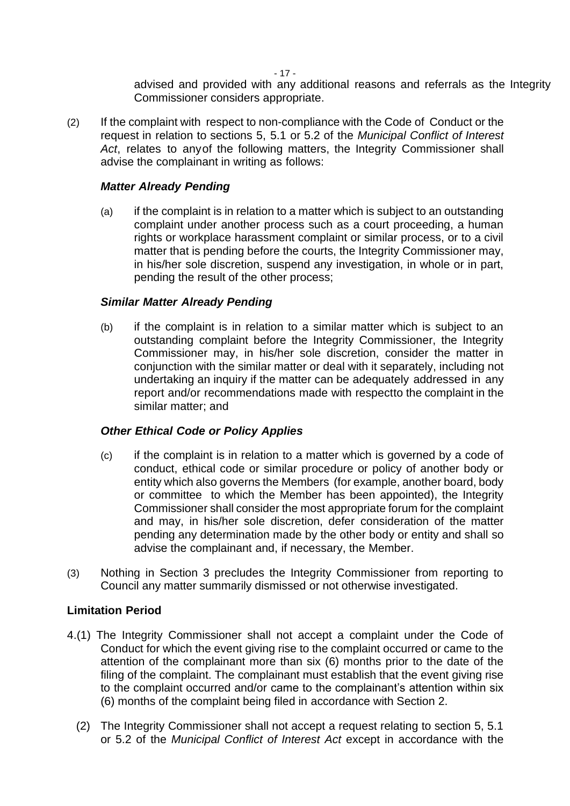- 17 -

advised and provided with any additional reasons and referrals as the Integrity Commissioner considers appropriate.

(2) If the complaint with respect to non-compliance with the Code of Conduct or the request in relation to sections 5, 5.1 or 5.2 of the *Municipal Conflict of Interest Act*, relates to anyof the following matters, the Integrity Commissioner shall advise the complainant in writing as follows:

#### *Matter Already Pending*

(a) if the complaint is in relation to a matter which is subject to an outstanding complaint under another process such as a court proceeding, a human rights or workplace harassment complaint or similar process, or to a civil matter that is pending before the courts, the Integrity Commissioner may, in his/her sole discretion, suspend any investigation, in whole or in part, pending the result of the other process;

#### *Similar Matter Already Pending*

(b) if the complaint is in relation to a similar matter which is subject to an outstanding complaint before the Integrity Commissioner, the Integrity Commissioner may, in his/her sole discretion, consider the matter in conjunction with the similar matter or deal with it separately, including not undertaking an inquiry if the matter can be adequately addressed in any report and/or recommendations made with respectto the complaint in the similar matter; and

#### *Other Ethical Code or Policy Applies*

- (c) if the complaint is in relation to a matter which is governed by a code of conduct, ethical code or similar procedure or policy of another body or entity which also governs the Members (for example, another board, body or committee to which the Member has been appointed), the Integrity Commissioner shall consider the most appropriate forum for the complaint and may, in his/her sole discretion, defer consideration of the matter pending any determination made by the other body or entity and shall so advise the complainant and, if necessary, the Member.
- (3) Nothing in Section 3 precludes the Integrity Commissioner from reporting to Council any matter summarily dismissed or not otherwise investigated.

#### **Limitation Period**

- 4.(1) The Integrity Commissioner shall not accept a complaint under the Code of Conduct for which the event giving rise to the complaint occurred or came to the attention of the complainant more than six (6) months prior to the date of the filing of the complaint. The complainant must establish that the event giving rise to the complaint occurred and/or came to the complainant's attention within six (6) months of the complaint being filed in accordance with Section 2.
	- (2) The Integrity Commissioner shall not accept a request relating to section 5, 5.1 or 5.2 of the *Municipal Conflict of Interest Act* except in accordance with the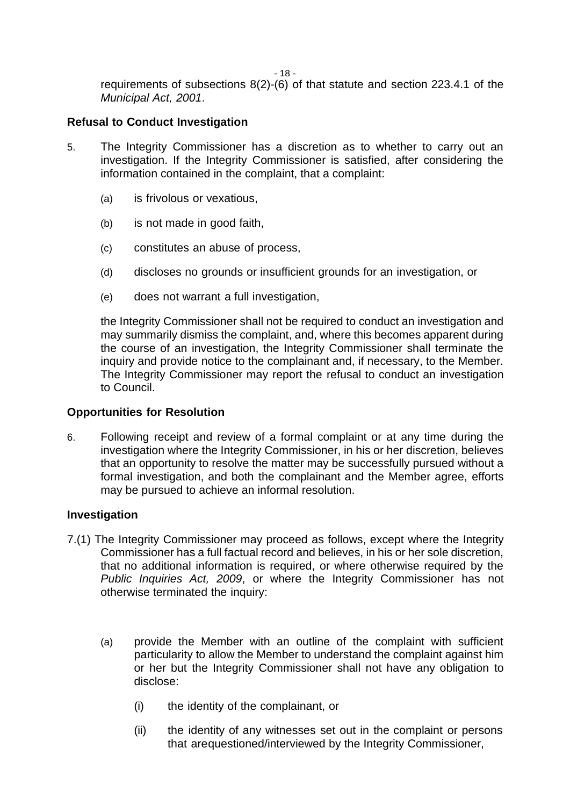- 18 -

requirements of subsections 8(2)-(6) of that statute and section 223.4.1 of the *Municipal Act, 2001*.

#### **Refusal to Conduct Investigation**

- 5. The Integrity Commissioner has a discretion as to whether to carry out an investigation. If the Integrity Commissioner is satisfied, after considering the information contained in the complaint, that a complaint:
	- (a) is frivolous or vexatious,
	- (b) is not made in good faith,
	- (c) constitutes an abuse of process,
	- (d) discloses no grounds or insufficient grounds for an investigation, or
	- (e) does not warrant a full investigation,

the Integrity Commissioner shall not be required to conduct an investigation and may summarily dismiss the complaint, and, where this becomes apparent during the course of an investigation, the Integrity Commissioner shall terminate the inquiry and provide notice to the complainant and, if necessary, to the Member. The Integrity Commissioner may report the refusal to conduct an investigation to Council.

#### **Opportunities for Resolution**

6. Following receipt and review of a formal complaint or at any time during the investigation where the Integrity Commissioner, in his or her discretion, believes that an opportunity to resolve the matter may be successfully pursued without a formal investigation, and both the complainant and the Member agree, efforts may be pursued to achieve an informal resolution.

#### **Investigation**

- 7.(1) The Integrity Commissioner may proceed as follows, except where the Integrity Commissioner has a full factual record and believes, in his or her sole discretion, that no additional information is required, or where otherwise required by the *Public Inquiries Act, 2009*, or where the Integrity Commissioner has not otherwise terminated the inquiry:
	- (a) provide the Member with an outline of the complaint with sufficient particularity to allow the Member to understand the complaint against him or her but the Integrity Commissioner shall not have any obligation to disclose:
		- (i) the identity of the complainant, or
		- (ii) the identity of any witnesses set out in the complaint or persons that arequestioned/interviewed by the Integrity Commissioner,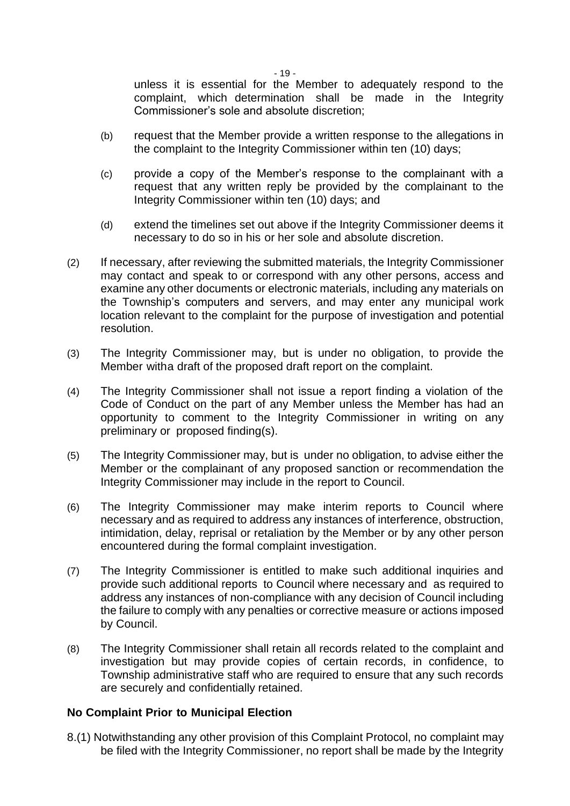- 19 -

unless it is essential for the Member to adequately respond to the complaint, which determination shall be made in the Integrity Commissioner's sole and absolute discretion;

- (b) request that the Member provide a written response to the allegations in the complaint to the Integrity Commissioner within ten (10) days;
- (c) provide a copy of the Member's response to the complainant with a request that any written reply be provided by the complainant to the Integrity Commissioner within ten (10) days; and
- (d) extend the timelines set out above if the Integrity Commissioner deems it necessary to do so in his or her sole and absolute discretion.
- (2) If necessary, after reviewing the submitted materials, the Integrity Commissioner may contact and speak to or correspond with any other persons, access and examine any other documents or electronic materials, including any materials on the Township's computers and servers, and may enter any municipal work location relevant to the complaint for the purpose of investigation and potential resolution.
- (3) The Integrity Commissioner may, but is under no obligation, to provide the Member witha draft of the proposed draft report on the complaint.
- (4) The Integrity Commissioner shall not issue a report finding a violation of the Code of Conduct on the part of any Member unless the Member has had an opportunity to comment to the Integrity Commissioner in writing on any preliminary or proposed finding(s).
- (5) The Integrity Commissioner may, but is under no obligation, to advise either the Member or the complainant of any proposed sanction or recommendation the Integrity Commissioner may include in the report to Council.
- (6) The Integrity Commissioner may make interim reports to Council where necessary and as required to address any instances of interference, obstruction, intimidation, delay, reprisal or retaliation by the Member or by any other person encountered during the formal complaint investigation.
- (7) The Integrity Commissioner is entitled to make such additional inquiries and provide such additional reports to Council where necessary and as required to address any instances of non-compliance with any decision of Council including the failure to comply with any penalties or corrective measure or actions imposed by Council.
- (8) The Integrity Commissioner shall retain all records related to the complaint and investigation but may provide copies of certain records, in confidence, to Township administrative staff who are required to ensure that any such records are securely and confidentially retained.

#### **No Complaint Prior to Municipal Election**

8.(1) Notwithstanding any other provision of this Complaint Protocol, no complaint may be filed with the Integrity Commissioner, no report shall be made by the Integrity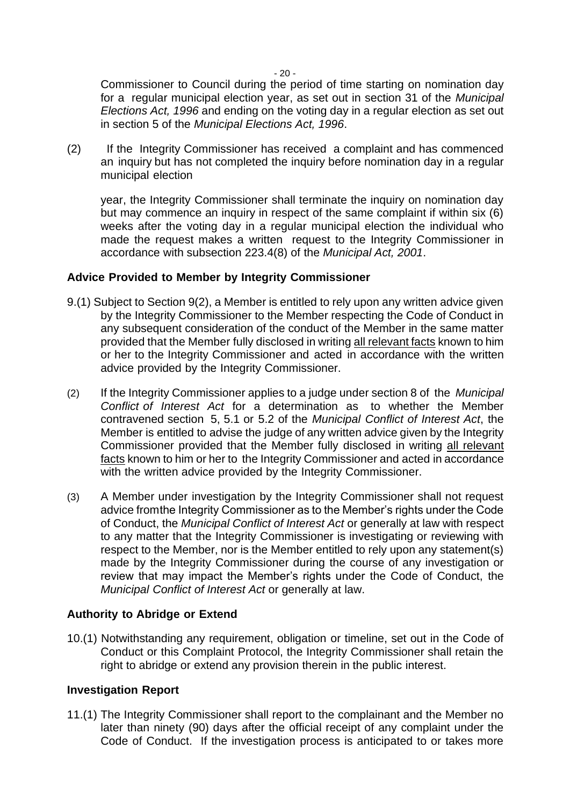$-20 -$ 

Commissioner to Council during the period of time starting on nomination day for a regular municipal election year, as set out in section 31 of the *Municipal Elections Act, 1996* and ending on the voting day in a regular election as set out in section 5 of the *Municipal Elections Act, 1996*.

(2) If the Integrity Commissioner has received a complaint and has commenced an inquiry but has not completed the inquiry before nomination day in a regular municipal election

year, the Integrity Commissioner shall terminate the inquiry on nomination day but may commence an inquiry in respect of the same complaint if within six (6) weeks after the voting day in a regular municipal election the individual who made the request makes a written request to the Integrity Commissioner in accordance with subsection 223.4(8) of the *Municipal Act, 2001*.

#### **Advice Provided to Member by Integrity Commissioner**

- 9.(1) Subject to Section 9(2), a Member is entitled to rely upon any written advice given by the Integrity Commissioner to the Member respecting the Code of Conduct in any subsequent consideration of the conduct of the Member in the same matter provided that the Member fully disclosed in writing all relevant facts known to him or her to the Integrity Commissioner and acted in accordance with the written advice provided by the Integrity Commissioner.
- (2) If the Integrity Commissioner applies to a judge under section 8 of the *Municipal Conflict of Interest Act* for a determination as to whether the Member contravened section 5, 5.1 or 5.2 of the *Municipal Conflict of Interest Act*, the Member is entitled to advise the judge of any written advice given by the Integrity Commissioner provided that the Member fully disclosed in writing all relevant facts known to him or her to the Integrity Commissioner and acted in accordance with the written advice provided by the Integrity Commissioner.
- (3) A Member under investigation by the Integrity Commissioner shall not request advice fromthe Integrity Commissioner as to the Member's rights under the Code of Conduct, the *Municipal Conflict of Interest Act* or generally at law with respect to any matter that the Integrity Commissioner is investigating or reviewing with respect to the Member, nor is the Member entitled to rely upon any statement(s) made by the Integrity Commissioner during the course of any investigation or review that may impact the Member's rights under the Code of Conduct, the *Municipal Conflict of Interest Act* or generally at law.

#### **Authority to Abridge or Extend**

10.(1) Notwithstanding any requirement, obligation or timeline, set out in the Code of Conduct or this Complaint Protocol, the Integrity Commissioner shall retain the right to abridge or extend any provision therein in the public interest.

#### **Investigation Report**

11.(1) The Integrity Commissioner shall report to the complainant and the Member no later than ninety (90) days after the official receipt of any complaint under the Code of Conduct. If the investigation process is anticipated to or takes more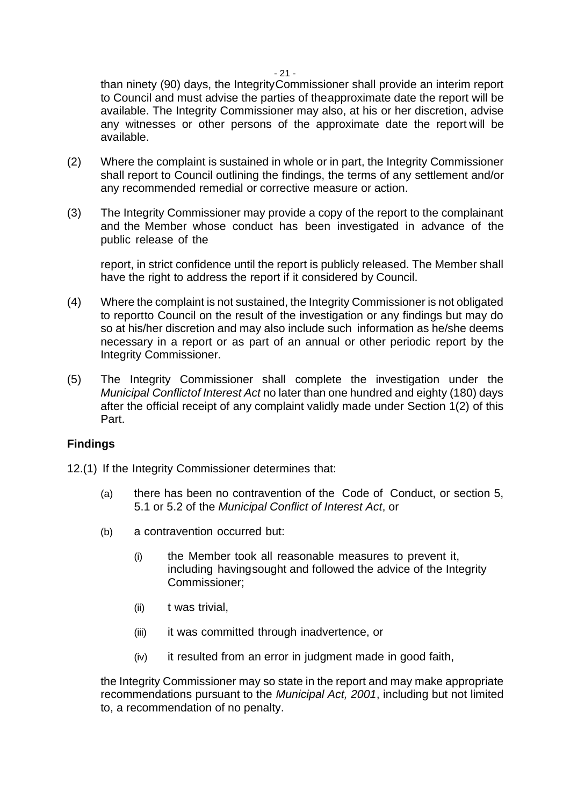than ninety (90) days, the IntegrityCommissioner shall provide an interim report to Council and must advise the parties of theapproximate date the report will be available. The Integrity Commissioner may also, at his or her discretion, advise any witnesses or other persons of the approximate date the report will be available.

- (2) Where the complaint is sustained in whole or in part, the Integrity Commissioner shall report to Council outlining the findings, the terms of any settlement and/or any recommended remedial or corrective measure or action.
- (3) The Integrity Commissioner may provide a copy of the report to the complainant and the Member whose conduct has been investigated in advance of the public release of the

report, in strict confidence until the report is publicly released. The Member shall have the right to address the report if it considered by Council.

- (4) Where the complaint is not sustained, the Integrity Commissioner is not obligated to reportto Council on the result of the investigation or any findings but may do so at his/her discretion and may also include such information as he/she deems necessary in a report or as part of an annual or other periodic report by the Integrity Commissioner.
- (5) The Integrity Commissioner shall complete the investigation under the *Municipal Conflictof Interest Act* no later than one hundred and eighty (180) days after the official receipt of any complaint validly made under Section 1(2) of this Part.

#### **Findings**

12.(1) If the Integrity Commissioner determines that:

- (a) there has been no contravention of the Code of Conduct, or section 5, 5.1 or 5.2 of the *Municipal Conflict of Interest Act*, or
- (b) a contravention occurred but:
	- (i) the Member took all reasonable measures to prevent it, including havingsought and followed the advice of the Integrity Commissioner;
	- (ii) t was trivial,
	- (iii) it was committed through inadvertence, or
	- (iv) it resulted from an error in judgment made in good faith,

the Integrity Commissioner may so state in the report and may make appropriate recommendations pursuant to the *Municipal Act, 2001*, including but not limited to, a recommendation of no penalty.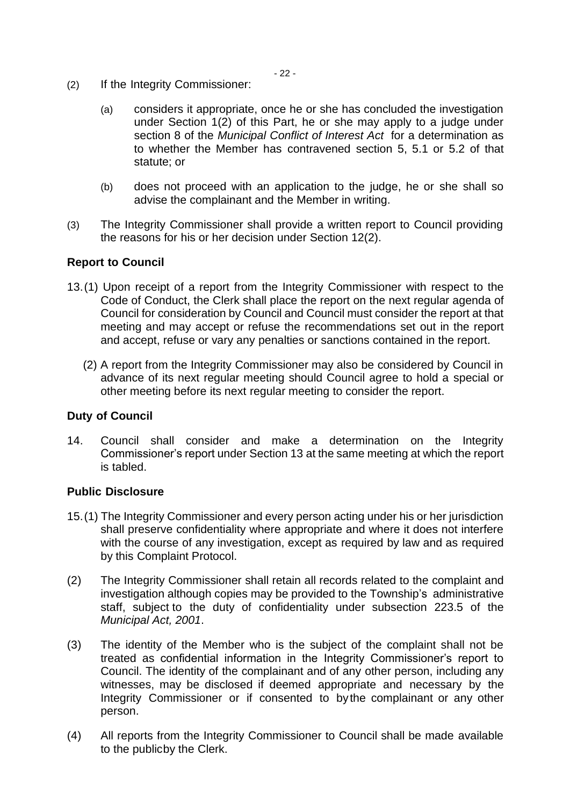- (2) If the Integrity Commissioner:
	- (a) considers it appropriate, once he or she has concluded the investigation under Section 1(2) of this Part, he or she may apply to a judge under section 8 of the *Municipal Conflict of Interest Act* for a determination as to whether the Member has contravened section 5, 5.1 or 5.2 of that statute; or
	- (b) does not proceed with an application to the judge, he or she shall so advise the complainant and the Member in writing.
- (3) The Integrity Commissioner shall provide a written report to Council providing the reasons for his or her decision under Section 12(2).

#### **Report to Council**

- 13.(1) Upon receipt of a report from the Integrity Commissioner with respect to the Code of Conduct, the Clerk shall place the report on the next regular agenda of Council for consideration by Council and Council must consider the report at that meeting and may accept or refuse the recommendations set out in the report and accept, refuse or vary any penalties or sanctions contained in the report.
	- (2) A report from the Integrity Commissioner may also be considered by Council in advance of its next regular meeting should Council agree to hold a special or other meeting before its next regular meeting to consider the report.

#### **Duty of Council**

14. Council shall consider and make a determination on the Integrity Commissioner's report under Section 13 at the same meeting at which the report is tabled.

#### **Public Disclosure**

- 15.(1) The Integrity Commissioner and every person acting under his or her jurisdiction shall preserve confidentiality where appropriate and where it does not interfere with the course of any investigation, except as required by law and as required by this Complaint Protocol.
- (2) The Integrity Commissioner shall retain all records related to the complaint and investigation although copies may be provided to the Township's administrative staff, subject to the duty of confidentiality under subsection 223.5 of the *Municipal Act, 2001*.
- (3) The identity of the Member who is the subject of the complaint shall not be treated as confidential information in the Integrity Commissioner's report to Council. The identity of the complainant and of any other person, including any witnesses, may be disclosed if deemed appropriate and necessary by the Integrity Commissioner or if consented to bythe complainant or any other person.
- (4) All reports from the Integrity Commissioner to Council shall be made available to the publicby the Clerk.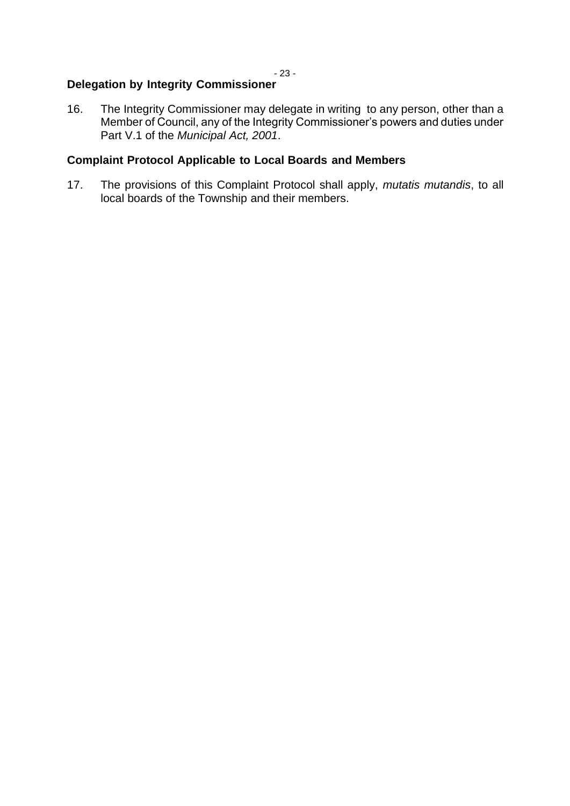### **Delegation by Integrity Commissioner**

16. The Integrity Commissioner may delegate in writing to any person, other than a Member of Council, any of the Integrity Commissioner's powers and duties under Part V.1 of the *Municipal Act, 2001*.

# **Complaint Protocol Applicable to Local Boards and Members**

17. The provisions of this Complaint Protocol shall apply, *mutatis mutandis*, to all local boards of the Township and their members.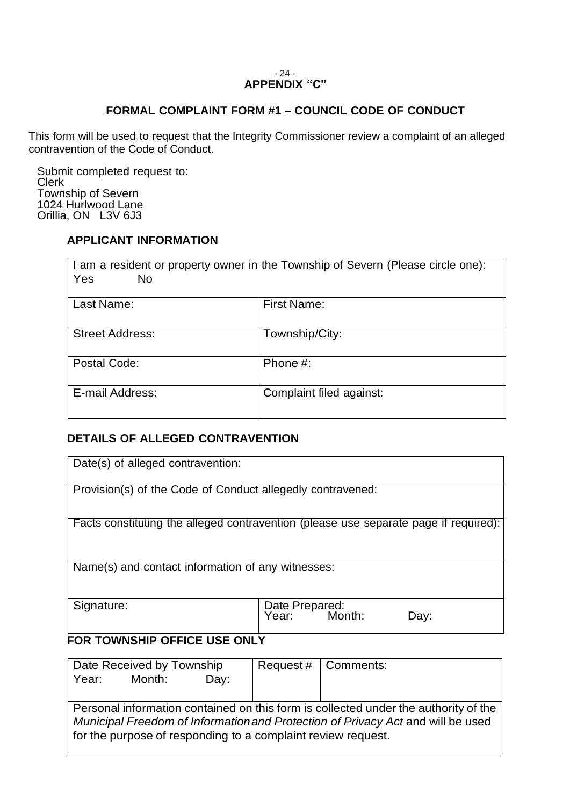#### - 24 - **APPENDIX "C"**

#### **FORMAL COMPLAINT FORM #1 – COUNCIL CODE OF CONDUCT**

This form will be used to request that the Integrity Commissioner review a complaint of an alleged contravention of the Code of Conduct.

Submit completed request to: Clerk Township of Severn 1024 Hurlwood Lane Orillia, ON L3V 6J3

## **APPLICANT INFORMATION**

| I am a resident or property owner in the Township of Severn (Please circle one):<br>Yes<br>No. |                          |  |
|------------------------------------------------------------------------------------------------|--------------------------|--|
| Last Name:                                                                                     | <b>First Name:</b>       |  |
| <b>Street Address:</b>                                                                         | Township/City:           |  |
| Postal Code:                                                                                   | Phone #:                 |  |
| E-mail Address:                                                                                | Complaint filed against: |  |

# **DETAILS OF ALLEGED CONTRAVENTION**

| Date(s) of alleged contravention:                                                    |                                        |  |  |
|--------------------------------------------------------------------------------------|----------------------------------------|--|--|
| Provision(s) of the Code of Conduct allegedly contravened:                           |                                        |  |  |
| Facts constituting the alleged contravention (please use separate page if required): |                                        |  |  |
| Name(s) and contact information of any witnesses:                                    |                                        |  |  |
| Signature:                                                                           | Date Prepared:<br>Year: Month:<br>Day: |  |  |
| FOR TOWNSHIP OFFICE USE ONLY                                                         |                                        |  |  |

| Date Received by Township                                                           |        |      | Request $#$   Comments: |  |
|-------------------------------------------------------------------------------------|--------|------|-------------------------|--|
| Year:                                                                               | Month: | Dav: |                         |  |
|                                                                                     |        |      |                         |  |
| Personal information contained on this form is collected under the authority of the |        |      |                         |  |
| Municipal Freedom of Information and Protection of Privacy Act and will be used     |        |      |                         |  |
| for the purpose of responding to a complaint review request.                        |        |      |                         |  |
|                                                                                     |        |      |                         |  |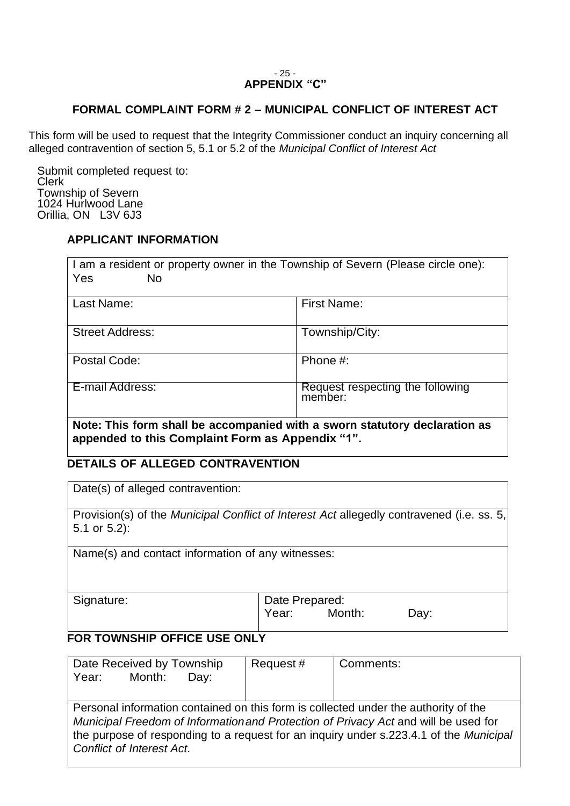#### - 25 - **APPENDIX "C"**

#### **FORMAL COMPLAINT FORM # 2 – MUNICIPAL CONFLICT OF INTEREST ACT**

This form will be used to request that the Integrity Commissioner conduct an inquiry concerning all alleged contravention of section 5, 5.1 or 5.2 of the *Municipal Conflict of Interest Act*

Submit completed request to: Clerk Township of Severn 1024 Hurlwood Lane Orillia, ON L3V 6J3

# **APPLICANT INFORMATION**

| I am a resident or property owner in the Township of Severn (Please circle one):<br>Yes<br>No.                                 |                                             |  |  |
|--------------------------------------------------------------------------------------------------------------------------------|---------------------------------------------|--|--|
| Last Name:                                                                                                                     | <b>First Name:</b>                          |  |  |
| <b>Street Address:</b>                                                                                                         | Township/City:                              |  |  |
| Postal Code:                                                                                                                   | Phone #:                                    |  |  |
| E-mail Address:                                                                                                                | Request respecting the following<br>member: |  |  |
| Note: This form shall be accompanied with a sworn statutory declaration as<br>appended to this Complaint Form as Appendix "1". |                                             |  |  |

**DETAILS OF ALLEGED CONTRAVENTION**

Date(s) of alleged contravention:

Provision(s) of the *Municipal Conflict of Interest Act* allegedly contravened (i.e. ss. 5, 5.1 or 5.2):

Name(s) and contact information of any witnesses:

| Signature: |
|------------|
|------------|

Date Prepared: Year: Month: Day:

#### **FOR TOWNSHIP OFFICE USE ONLY**

| Date Received by Township<br>Year: Month:<br>Day:                                                                                                                                                                                                                                                        | Request# | Comments: |  |
|----------------------------------------------------------------------------------------------------------------------------------------------------------------------------------------------------------------------------------------------------------------------------------------------------------|----------|-----------|--|
| Personal information contained on this form is collected under the authority of the<br>Municipal Freedom of Information and Protection of Privacy Act and will be used for<br>the purpose of responding to a request for an inquiry under s.223.4.1 of the Municipal<br><b>Conflict of Interest Act.</b> |          |           |  |